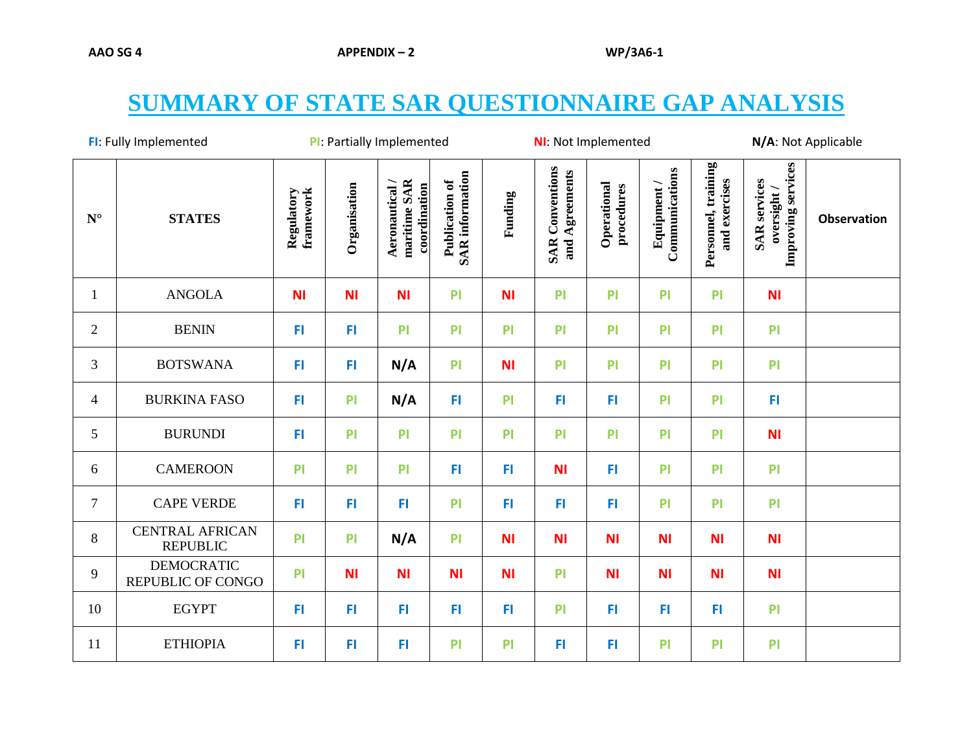## **SUMMARY OF STATE SAR QUESTIONNAIRE GAP ANALYSIS**

|                    | FI: Fully Implemented                     |                         |                | PI: Partially Implemented                    |                                          |           | <b>NI:</b> Not Implemented               |                           |                               |                                      | N/A: Not Applicable                                      |                    |
|--------------------|-------------------------------------------|-------------------------|----------------|----------------------------------------------|------------------------------------------|-----------|------------------------------------------|---------------------------|-------------------------------|--------------------------------------|----------------------------------------------------------|--------------------|
| $\mathbf{N}^\circ$ | <b>STATES</b>                             | framework<br>Regulatory | Organisation   | maritime SAR<br>coordination<br>Aeronautical | <b>SAR</b> information<br>Publication of | Funding   | <b>SAR Conventions</b><br>and Agreements | Operational<br>procedures | Communications<br>Equipment / | Personnel, training<br>and exercises | Improving services<br><b>SAR</b> services<br>oversight / | <b>Observation</b> |
| 1                  | <b>ANGOLA</b>                             | <b>NI</b>               | <b>NI</b>      | <b>NI</b>                                    | P <sub>1</sub>                           | <b>NI</b> | PI                                       | PI                        | P <sub>1</sub>                | PI                                   | <b>NI</b>                                                |                    |
| $\mathbf{2}$       | <b>BENIN</b>                              | FI                      | FI             | P <sub>1</sub>                               | P <sub>1</sub>                           | PI        | P <sub>1</sub>                           | PI                        | P                             | PI                                   | P                                                        |                    |
| 3                  | <b>BOTSWANA</b>                           | FL                      | F <sub>1</sub> | N/A                                          | P <sub>1</sub>                           | <b>NI</b> | PI                                       | PI                        | PI                            | PI                                   | PI                                                       |                    |
| $\overline{4}$     | <b>BURKINA FASO</b>                       | FI                      | PI             | N/A                                          | FI                                       | PI        | FI.                                      | FI                        | PI                            | PI                                   | FI                                                       |                    |
| 5                  | <b>BURUNDI</b>                            | FL                      | PI             | PI                                           | P <sub>1</sub>                           | PI        | PI                                       | PI                        | PI                            | PI                                   | <b>NI</b>                                                |                    |
| 6                  | <b>CAMEROON</b>                           | P                       | P <sub>1</sub> | P <sub>1</sub>                               | FI                                       | FI        | <b>NI</b>                                | FI                        | PI                            | PI                                   | PI                                                       |                    |
| $\tau$             | <b>CAPE VERDE</b>                         | FI.                     | FI             | FI                                           | P <sub>1</sub>                           | FI        | FI                                       | FI                        | PI                            | PI                                   | PI                                                       |                    |
| 8                  | <b>CENTRAL AFRICAN</b><br><b>REPUBLIC</b> | P                       | PI             | N/A                                          | P <sub>1</sub>                           | <b>NI</b> | <b>NI</b>                                | <b>NI</b>                 | <b>NI</b>                     | <b>NI</b>                            | <b>NI</b>                                                |                    |
| 9                  | <b>DEMOCRATIC</b><br>REPUBLIC OF CONGO    | P <sub>1</sub>          | <b>NI</b>      | <b>NI</b>                                    | <b>NI</b>                                | <b>NI</b> | P <sub>1</sub>                           | <b>NI</b>                 | <b>NI</b>                     | <b>NI</b>                            | N <sub>1</sub>                                           |                    |
| 10                 | <b>EGYPT</b>                              | FI                      | FI             | FI.                                          | FI                                       | FI        | P <sub>1</sub>                           | FI                        | FI                            | FI                                   | P                                                        |                    |
| 11                 | <b>ETHIOPIA</b>                           | FI                      | FI             | FI                                           | P <sub>1</sub>                           | PI        | FI                                       | FI                        | P <sub>1</sub>                | PI                                   | P <sub>1</sub>                                           |                    |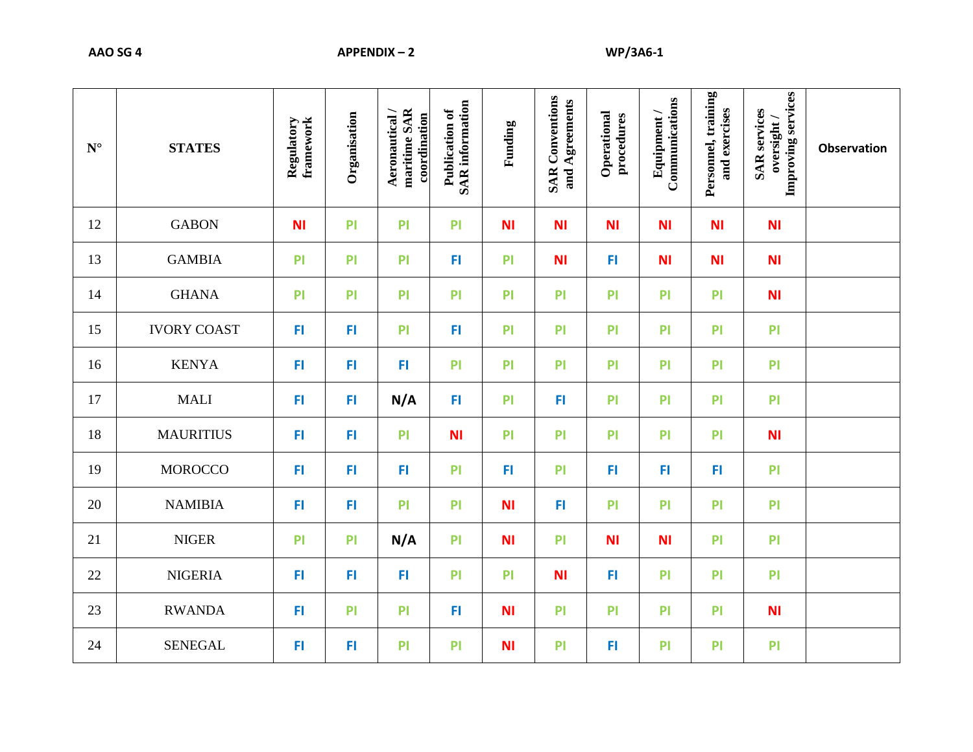| $N^{\circ}$ | <b>STATES</b>      | Regulatory<br>framework | Organisation | maritime SAR<br>Aeronautical/<br>coordination | <b>SAR</b> information<br>Publication of | Funding        | <b>SAR</b> Conventions<br>and Agreements | Operational<br>procedures | Communications<br>Equipment/ | Personnel, training<br>and exercises | Improving services<br><b>SAR</b> services<br>oversight/ | <b>Observation</b> |
|-------------|--------------------|-------------------------|--------------|-----------------------------------------------|------------------------------------------|----------------|------------------------------------------|---------------------------|------------------------------|--------------------------------------|---------------------------------------------------------|--------------------|
| 12          | <b>GABON</b>       | <b>NI</b>               | PI           | P <sub>1</sub>                                | P                                        | <b>NI</b>      | <b>NI</b>                                | <b>NI</b>                 | <b>NI</b>                    | <b>NI</b>                            | <b>NI</b>                                               |                    |
| 13          | <b>GAMBIA</b>      | P <sub>1</sub>          | PI           | P <sub>1</sub>                                | FI                                       | P <sub>1</sub> | <b>NI</b>                                | FI                        | <b>NI</b>                    | <b>NI</b>                            | <b>NI</b>                                               |                    |
| 14          | <b>GHANA</b>       | PI                      | PI           | <b>PI</b>                                     | PI                                       | PI             | P                                        | PI                        | PI                           | PI                                   | ΝI                                                      |                    |
| 15          | <b>IVORY COAST</b> | FI                      | FI           | P <sub>1</sub>                                | FI                                       | P <sub>1</sub> | P <sub>1</sub>                           | PI                        | P                            | P <sub>1</sub>                       | PI                                                      |                    |
| 16          | <b>KENYA</b>       | FI                      | FI           | FI.                                           | P <sub>1</sub>                           | PI             | P <sub>1</sub>                           | PI                        | P                            | PI                                   | PI                                                      |                    |
| 17          | <b>MALI</b>        | FI                      | FI           | N/A                                           | FI                                       | P <sub>1</sub> | FI                                       | PI                        | P                            | PI                                   | PI                                                      |                    |
| 18          | <b>MAURITIUS</b>   | FI                      | FI           | P <sub>1</sub>                                | <b>NI</b>                                | P <sub>1</sub> | P <sub>1</sub>                           | PI                        | P                            | PI                                   | <b>NI</b>                                               |                    |
| 19          | <b>MOROCCO</b>     | FI                      | FI           | FI                                            | P <sub>1</sub>                           | FI             | P <sub>1</sub>                           | FI                        | FI                           | FI                                   | P <sub>1</sub>                                          |                    |
| 20          | <b>NAMIBIA</b>     | FI                      | FI           | <b>PI</b>                                     | PI                                       | <b>NI</b>      | FI                                       | PI                        | PI                           | <b>PI</b>                            | PI                                                      |                    |
| 21          | <b>NIGER</b>       | P                       | PI           | N/A                                           | PI                                       | <b>NI</b>      | P <sub>1</sub>                           | <b>NI</b>                 | <b>NI</b>                    | PI                                   | PI                                                      |                    |
| 22          | <b>NIGERIA</b>     | FI                      | FI           | FI                                            | P                                        | PI             | <b>NI</b>                                | FI                        | P                            | PI                                   | P                                                       |                    |
| 23          | <b>RWANDA</b>      | FI                      | PI           | <b>PI</b>                                     | FI                                       | <b>NI</b>      | P <sub>1</sub>                           | PI                        | P                            | PI                                   | <b>NI</b>                                               |                    |
| 24          | <b>SENEGAL</b>     | FI                      | FI           | P <sub>1</sub>                                | PI                                       | <b>NI</b>      | P <sub>1</sub>                           | FI                        | P <sub>1</sub>               | PI                                   | P <sub>1</sub>                                          |                    |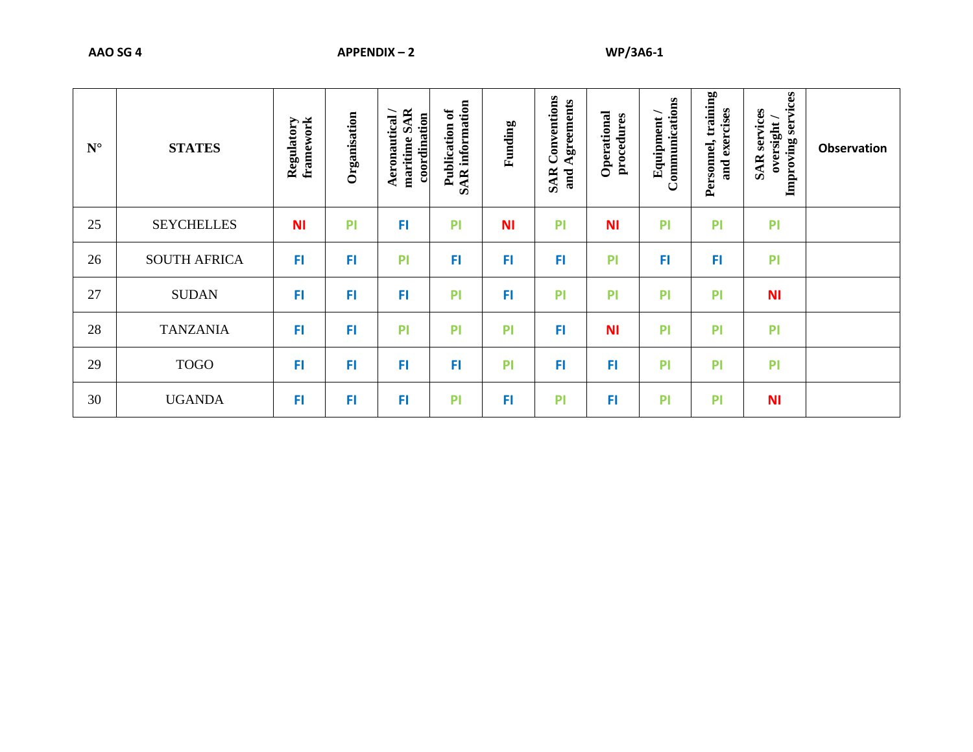| $N^{\circ}$ | <b>STATES</b>       | framework<br>Regulatory | Organisation | maritime SAR<br>coordination<br>Aeronautical | information<br>Publication of<br><b>SAR</b> | Funding   | Conventions<br>Agreements<br><b>SAR</b><br>and | Operational<br>procedures | Communications<br>Equipment | Personnel, training<br>and exercises | Improving services<br><b>SAR</b> services<br>oversight/ | <b>Observation</b> |
|-------------|---------------------|-------------------------|--------------|----------------------------------------------|---------------------------------------------|-----------|------------------------------------------------|---------------------------|-----------------------------|--------------------------------------|---------------------------------------------------------|--------------------|
| 25          | <b>SEYCHELLES</b>   | <b>NI</b>               | PI           | FI                                           | PI                                          | <b>NI</b> | PI                                             | <b>NI</b>                 | PI                          | PI                                   | PI                                                      |                    |
| 26          | <b>SOUTH AFRICA</b> | FI                      | FI           | P <sub>1</sub>                               | FI                                          | FI        | FI                                             | PI                        | FI                          | FI                                   | PI                                                      |                    |
| 27          | <b>SUDAN</b>        | FI                      | FI           | FI                                           | PI                                          | FI        | PI                                             | PI                        | PI                          | PI                                   | <b>NI</b>                                               |                    |
| 28          | <b>TANZANIA</b>     | FI                      | FI           | P <sub>1</sub>                               | PI                                          | PI        | FI                                             | <b>NI</b>                 | PI                          | PI                                   | PI                                                      |                    |
| 29          | <b>TOGO</b>         | FI                      | FI           | FI                                           | FI                                          | PI        | FI                                             | FI                        | PI                          | PI                                   | PI                                                      |                    |
| 30          | <b>UGANDA</b>       | FI                      | FI           | FI                                           | PI                                          | FI        | PI                                             | F <sub>1</sub>            | PI                          | PI                                   | <b>NI</b>                                               |                    |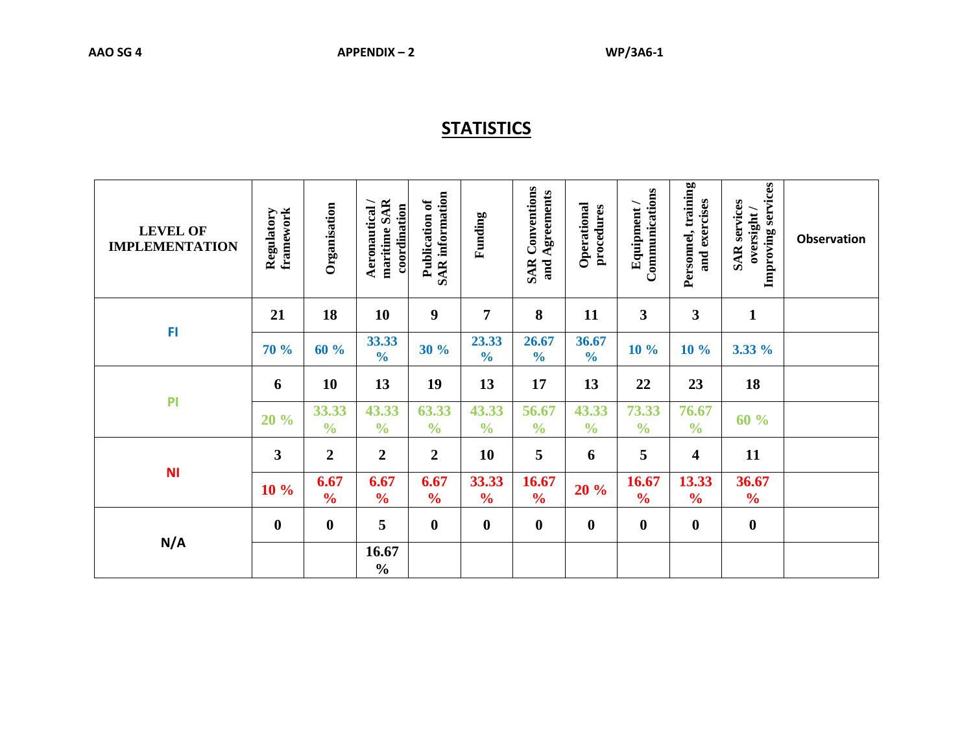## **STATISTICS**

| <b>LEVEL OF</b><br><b>IMPLEMENTATION</b> | framework<br>Regulatory | Organisation           | maritime SAR<br>Aeronautical/<br>coordination | <b>SAR</b> information<br>Publication of | Funding                | <b>SAR Conventions</b><br>and Agreements | Operational<br>procedures | Communications<br>Equipment/ | Personnel, training<br>and exercises | Improving services<br><b>SAR</b> services<br>oversight / | <b>Observation</b> |
|------------------------------------------|-------------------------|------------------------|-----------------------------------------------|------------------------------------------|------------------------|------------------------------------------|---------------------------|------------------------------|--------------------------------------|----------------------------------------------------------|--------------------|
|                                          | 21                      | 18                     | 10                                            | $\boldsymbol{9}$                         | 7                      | 8                                        | 11                        | $\mathbf{3}$                 | $\mathbf{3}$                         | $\mathbf{1}$                                             |                    |
| FI                                       | 70 %                    | 60%                    | 33.33<br>$\frac{1}{2}$                        | 30%                                      | 23.33<br>$\frac{0}{0}$ | 26.67<br>$\frac{0}{0}$                   | 36.67<br>$\frac{0}{0}$    | 10 %                         | 10%                                  | 3.33 %                                                   |                    |
|                                          | 6                       | 10                     | 13                                            | 19                                       | 13                     | 17                                       | 13                        | 22                           | 23                                   | 18                                                       |                    |
| P <sub>1</sub>                           | 20 %                    | 33.33<br>$\frac{0}{0}$ | 43.33<br>$\frac{0}{0}$                        | 63.33<br>$\frac{0}{0}$                   | 43.33<br>$\frac{0}{0}$ | 56.67<br>$\frac{0}{0}$                   | 43.33<br>$\frac{0}{0}$    | 73.33<br>$\frac{0}{0}$       | 76.67<br>$\frac{0}{0}$               | 60 %                                                     |                    |
|                                          | 3                       | $\boldsymbol{2}$       | $\overline{2}$                                | $\boldsymbol{2}$                         | 10                     | 5                                        | 6                         | 5                            | 4                                    | 11                                                       |                    |
| <b>NI</b>                                | 10 %                    | 6.67<br>$\frac{0}{0}$  | 6.67<br>$\frac{0}{0}$                         | 6.67<br>$\frac{0}{0}$                    | 33.33<br>$\frac{0}{0}$ | 16.67<br>$\frac{0}{0}$                   | 20 %                      | 16.67<br>$\frac{0}{0}$       | 13.33<br>$\frac{6}{6}$               | 36.67<br>$\frac{6}{6}$                                   |                    |
|                                          | $\boldsymbol{0}$        | $\boldsymbol{0}$       | 5                                             | $\boldsymbol{0}$                         | $\boldsymbol{0}$       | $\boldsymbol{0}$                         | $\boldsymbol{0}$          | $\bf{0}$                     | $\boldsymbol{0}$                     | $\mathbf 0$                                              |                    |
| N/A                                      |                         |                        | 16.67<br>$\frac{0}{0}$                        |                                          |                        |                                          |                           |                              |                                      |                                                          |                    |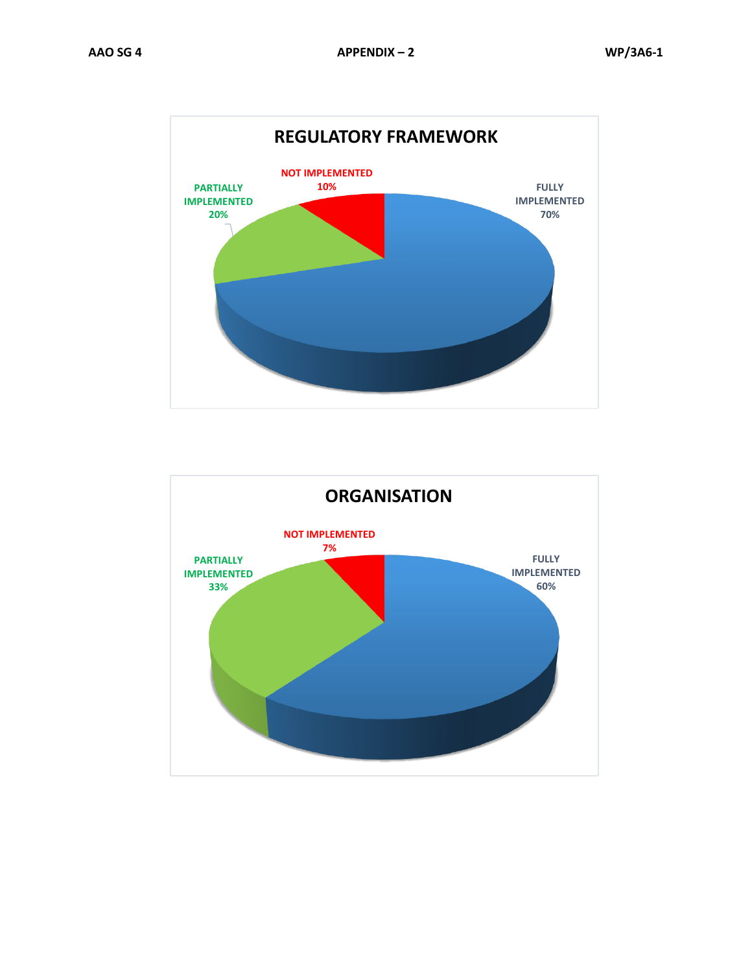

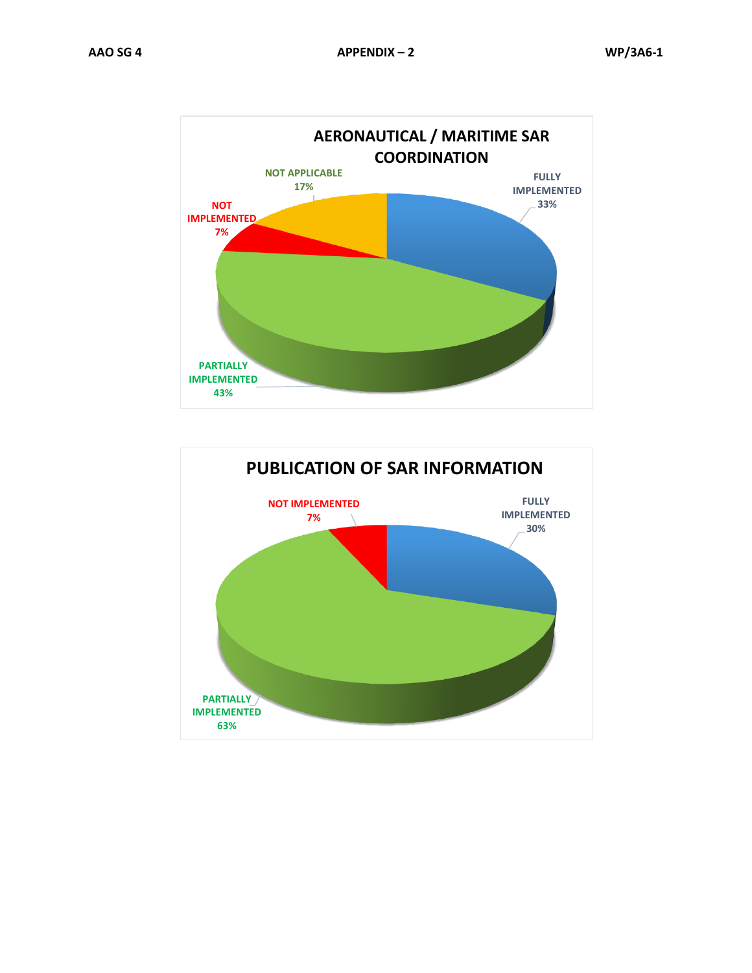

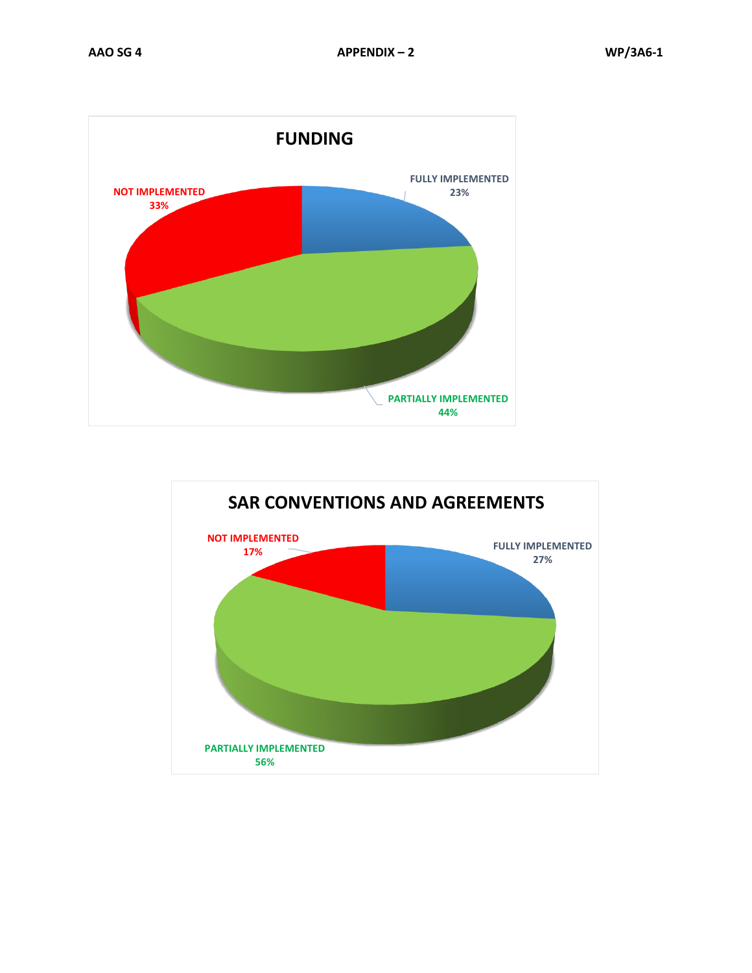

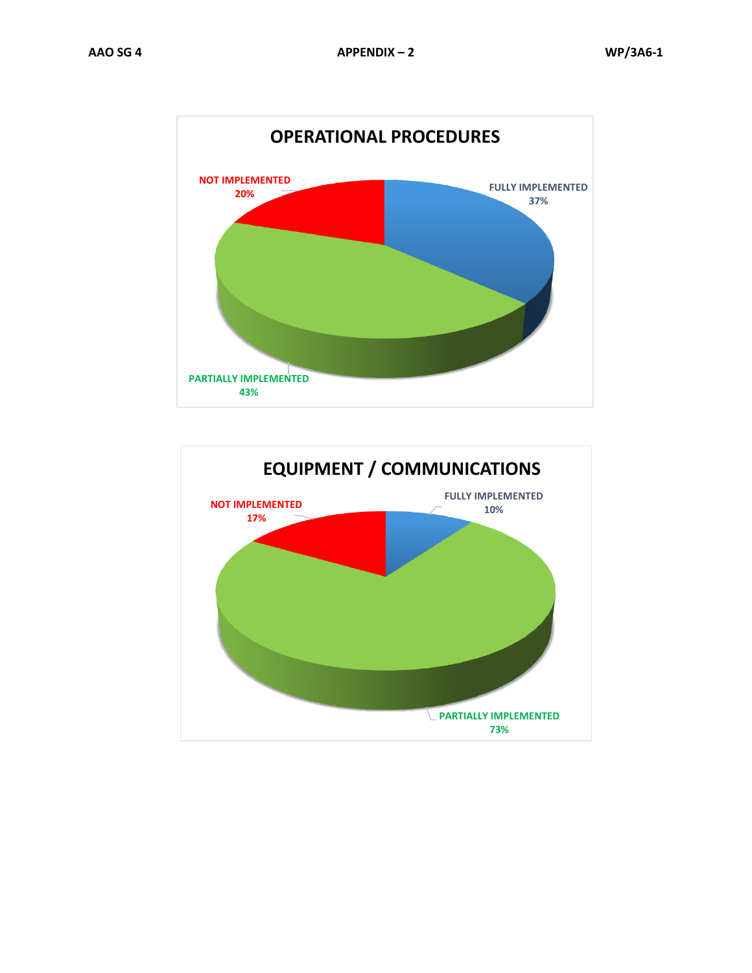